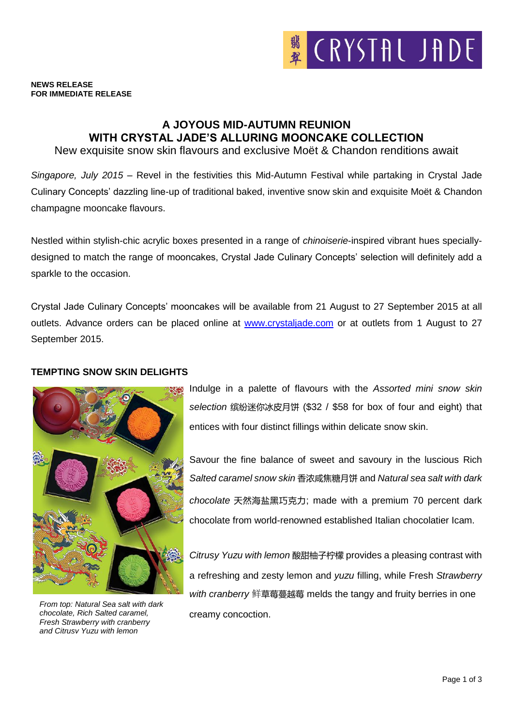

#### **NEWS RELEASE FOR IMMEDIATE RELEASE**

# **A JOYOUS MID-AUTUMN REUNION WITH CRYSTAL JADE'S ALLURING MOONCAKE COLLECTION**

New exquisite snow skin flavours and exclusive Moët & Chandon renditions await

*Singapore, July 2015* – Revel in the festivities this Mid-Autumn Festival while partaking in Crystal Jade Culinary Concepts' dazzling line-up of traditional baked, inventive snow skin and exquisite Moët & Chandon champagne mooncake flavours.

Nestled within stylish-chic acrylic boxes presented in a range of *chinoiserie*-inspired vibrant hues speciallydesigned to match the range of mooncakes, Crystal Jade Culinary Concepts' selection will definitely add a sparkle to the occasion.

Crystal Jade Culinary Concepts' mooncakes will be available from 21 August to 27 September 2015 at all outlets. Advance orders can be placed online at [www.crystaljade.com](http://www.crystaljade.com/) or at outlets from 1 August to 27 September 2015.

### **TEMPTING SNOW SKIN DELIGHTS**



*From top: Natural Sea salt with dark chocolate, Rich Salted caramel, Fresh Strawberry with cranberry and Citrusy Yuzu with lemon*

Indulge in a palette of flavours with the *Assorted mini snow skin selection* 缤纷迷你冰皮月饼 (\$32 / \$58 for box of four and eight) that entices with four distinct fillings within delicate snow skin.

Savour the fine balance of sweet and savoury in the luscious Rich *Salted caramel snow skin* 香浓咸焦糖月饼 and *Natural sea salt with dark chocolate* 天然海盐黑巧克力; made with a premium 70 percent dark chocolate from world-renowned established Italian chocolatier Icam.

*Citrusy Yuzu with lemon* 酸甜柚子柠檬 provides a pleasing contrast with a refreshing and zesty lemon and *yuzu* filling, while Fresh *Strawberry with cranberry* 鲜草莓蔓越莓 melds the tangy and fruity berries in one creamy concoction.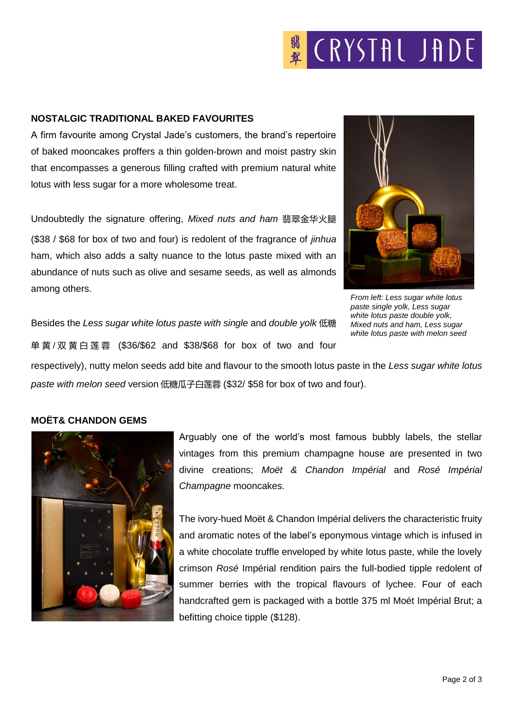# **K** CRYSTAL JADE

## **NOSTALGIC TRADITIONAL BAKED FAVOURITES**

A firm favourite among Crystal Jade's customers, the brand's repertoire of baked mooncakes proffers a thin golden-brown and moist pastry skin that encompasses a generous filling crafted with premium natural white lotus with less sugar for a more wholesome treat.

Undoubtedly the signature offering, *Mixed nuts and ham* 翡翠金华火腿 (\$38 / \$68 for box of two and four) is redolent of the fragrance of *jinhua* ham, which also adds a salty nuance to the lotus paste mixed with an abundance of nuts such as olive and sesame seeds, as well as almonds among others.



*From left: Less sugar white lotus paste single yolk, Less sugar white lotus paste double yolk, Mixed nuts and ham, Less sugar white lotus paste with melon seed*

Besides the *Less sugar white lotus paste with single* and *double yolk* 低糖 单 黄 / 双黄白莲蓉 (\$36/\$62 and \$38/\$68 for box of two and four

respectively), nutty melon seeds add bite and flavour to the smooth lotus paste in the *Less sugar white lotus paste with melon seed* version 低糖瓜子白莲蓉 (\$32/ \$58 for box of two and four).

# **MOËT& CHANDON GEMS**



Arguably one of the world's most famous bubbly labels, the stellar vintages from this premium champagne house are presented in two divine creations; *Moët & Chandon Impérial* and *Rosé Impérial Champagne* mooncakes.

The ivory-hued Moët & Chandon Impérial delivers the characteristic fruity and aromatic notes of the label's eponymous vintage which is infused in a white chocolate truffle enveloped by white lotus paste, while the lovely crimson *Rosé* Impérial rendition pairs the full-bodied tipple redolent of summer berries with the tropical flavours of lychee. Four of each handcrafted gem is packaged with a bottle 375 ml Moét Impérial Brut; a befitting choice tipple (\$128).